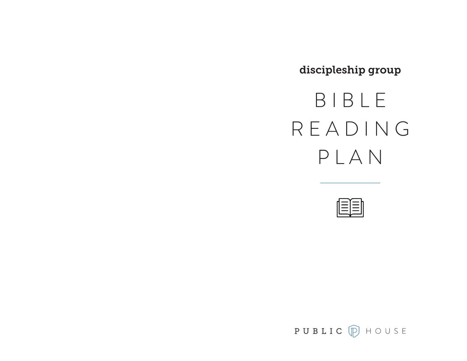discipleship group

# B I B L E R E A D I N G PLAN



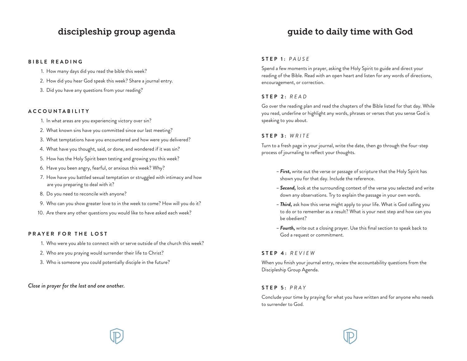## discipleship group agenda

#### **BIBLE READING**

- 1. How many days did you read the bible this week?
- 2. How did you hear God speak this week? Share a journal entry.
- 3. Did you have any questions from your reading?

#### **ACCOUNTABILITY**

- 1. In what areas are you experiencing victory over sin?
- 2. What known sins have you committed since our last meeting?
- 3. What temptations have you encountered and how were you delivered?
- 4. What have you thought, said, or done, and wondered if it was sin?
- 5. How has the Holy Spirit been testing and growing you this week?
- 6. Have you been angry, fearful, or anxious this week? Why?
- 7. How have you battled sexual temptation or struggled with intimacy and how are you preparing to deal with it?
- 8. Do you need to reconcile with anyone?
- 9. Who can you show greater love to in the week to come? How will you do it?
- 10. Are there any other questions you would like to have asked each week?

#### **PRAYER FOR THE LOST**

- 1. Who were you able to connect with or serve outside of the church this week?
- 2. Who are you praying would surrender their life to Christ?
- 3. Who is someone you could potentially disciple in the future?

#### *Close in prayer for the lost and one another.*

#### **STEP 1:** *PAUSE*

Spend a few moments in prayer, asking the Holy Spirit to guide and direct your reading of the Bible. Read with an open heart and listen for any words of directions, encouragement, or correction.

#### **STEP 2:** *READ*

Go over the reading plan and read the chapters of the Bible listed for that day. While you read, underline or highlight any words, phrases or verses that you sense God is speaking to you about.

#### **STEP 3:** *WRITE*

Turn to a fresh page in your journal, write the date, then go through the four-step process of journaling to reflect your thoughts.

- *First,* write out the verse or passage of scripture that the Holy Spirit has shown you for that day. Include the reference.
- *Second,* look at the surrounding context of the verse you selected and write down any observations. Try to explain the passage in your own words.
- *Third,* ask how this verse might apply to your life. What is God calling you to do or to remember as a result? What is your next step and how can you be obedient?
- *Fourth,* write out a closing prayer. Use this final section to speak back to God a request or commitment.

#### **STEP 4:** *REVIEW*

When you finish your journal entry, review the accountability questions from the Discipleship Group Agenda.

#### **STEP 5:** *PRAY*

Conclude your time by praying for what you have written and for anyone who needs to surrender to God.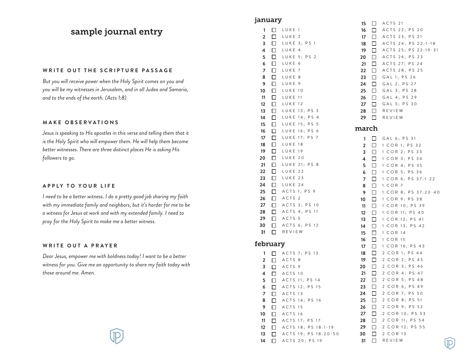# sample journal entry

#### **WRITE OUT THE SCRIPTURE PASSAGE**

*But you will receive power when the Holy Spirit comes on you and you will be my witnesses in Jerusalem, and in all Judea and Samaria, and to the ends of the earth. (Acts 1:8)*

#### **MAKE OBSERVATIONS**

*Jesus is speaking to His apostles in this verse and telling them that it is the Holy Spirit who will empower them. He will help them become better witnesses. There are three distinct places He is asking His followers to go.*

#### **APPLY TO YOUR LIFE**

*I need to be a better witness. I do a pretty good job sharing my faith with my immediate family and neighbors, but it's harder for me to be a witness for Jesus at work and with my extended family. I need to pray for the Holy Spirit to make me a better witness.*

#### **WRITE OUT A PRAYER**

*Dear Jesus, empower me with boldness today! I want to be a better witness for you. Give me an opportunity to share my faith today with those around me. Amen.*

## january

| 1              | □      | LUKE<br>$\overline{1}$  |
|----------------|--------|-------------------------|
| 2              | $\Box$ | LUKE<br>$\overline{2}$  |
|                | □      | $\overline{1}$          |
| 3              |        | LUKE 3; PS              |
| 4              | □      | LUKE 4                  |
| 5              | □      | LUKE 5; PS 2            |
| 6              | $\Box$ | LUKE<br>6               |
| $\overline{7}$ | $\Box$ | LUKE<br>7               |
| 8              | □      | LUKE<br>8               |
| 9              | $\Box$ | LUKE<br>9               |
| 10             | □      | LUKE 10                 |
| 11             | □      | LUKE 11                 |
|                |        |                         |
| 12             | □      | LUKE 12                 |
| 13             | $\Box$ | LUKE 13; PS 3           |
| 14             | □      | LUKE 14; PS 4           |
| 15             | $\Box$ | LUKE 15; PS<br>5        |
| 16             | □      | LUKE 16; PS<br>6        |
| 17             | $\Box$ | LUKE 17; PS 7           |
| 18             | □      | LUKE 18                 |
| 19             | □      | LUKE 19                 |
|                | $\Box$ |                         |
| 20             |        | LUKE 20                 |
| 21             | $\Box$ | LUKE 21; PS 8           |
| 22             | $\Box$ | LUKE 22                 |
| 23             | □      | LUKE 23                 |
| 24             | □      | LUKE 24                 |
| 25             | ப      | ACTS 1; PS 9            |
| 26             | □.     | ACTS <sub>2</sub>       |
| 27             | $\Box$ | ACTS 3; PS 10           |
| 28             | $\Box$ | ACTS 4; PS<br>11        |
|                |        |                         |
| 29             | □      | ACTS<br>- 5             |
| 30             | □      | ACTS 6; PS 12           |
| 31             | □      | REVIEW                  |
|                |        |                         |
| february       |        |                         |
| 1              |        | $\Box$ ACTS 7; PS 13    |
| 2              |        | ACTS<br>- 8             |
| 3              |        | ACTS<br>- 9             |
| 4              |        | $\Box$ ACTS 10          |
| 5              |        | ACTS 11; PS 14          |
| 6              |        | 12;<br>P S<br>15        |
|                | ⊓      | ACTS                    |
| 7              | П      | ACTS<br>13              |
| 8              | □      | ACTS<br>14: PS 16       |
| 9              | □      | ACTS<br>15              |
| 10             | $\Box$ | ACTS<br>16              |
| 11             | $\Box$ | ACTS<br>17; PS 17       |
| 12             | □      | ACTS 18; PS 18:1-19     |
| 13             | $\Box$ | ACTS<br>19; PS 18:20-50 |
|                |        |                         |

**14**

ACTS 20; PS 19

**15** ACTS 21 **16** ACTS 22; PS 20 **17** ACTS 23; PS 21 **18** ACTS 24; PS 22:1-18 ACTS 25; PS 22:19-31 **19**  $\Box$ ACTS 26; PS 23 **20**  $\Box$ 21  $\Box$ ACTS 27; PS 24 **22** ACTS 28; PS 25 **23** GAL 1; PS 26 **24**  $\Box$ GAL 2; PS 27 **25** GAL 3; PS 28 **26** GAL 4; PS 29 GAL 5; PS 30 **27 28** REVIEW REVIEW **29**

### march

| 1  | П      | GAL 6; PS 31                          |
|----|--------|---------------------------------------|
| 2  | □      | 1 COR 1; PS 32                        |
| 3  | П      | COR 2: PS 33<br>1                     |
| 4  | □      | COR 3; PS 34<br>1                     |
| 5  | П      | COR 4; PS 35<br>1                     |
| 6  | □      | COR 5; PS 36<br>1                     |
| 7  | П      | COR 6; PS 37:1-22<br>1                |
| 8  | □      | COR 7<br>1                            |
| 9  | П      | COR 8; PS 37:23-40<br>1               |
| 10 | П      | COR 9; PS 38<br>$\mathbf{1}$          |
| 11 | П      | COR 10; PS 39<br>$\mathbf{1}$         |
| 12 | □      | COR 11; PS 40<br>$\mathbf{1}$         |
| 13 | □      | COR 12; PS 41<br>1                    |
| 14 | □      | COR 13; PS 42<br>1                    |
| 15 | П      | COR 14<br>1                           |
| 16 | П      | $COR$ 15<br>1                         |
| 17 | □      | COR 16; PS 43<br>1                    |
| 18 | □      | 2 COR 1: PS 44                        |
| 19 | п      | COR 2; PS 45<br>$\overline{c}$        |
| 20 | □      | $\overline{c}$<br>COR 3: PS 46        |
| 21 | □      | COR 4; PS 47<br>2                     |
| 22 | □      | $\overline{c}$<br>COR 5; PS 48        |
| 23 | □      | $\overline{c}$<br>COR 6: PS 49        |
| 24 | □      | $COR$ $7; PS$<br>$\overline{c}$<br>50 |
| 25 | □      | 2<br>COR 8; PS 51                     |
| 26 | П      | COR 9; PS 52<br>$\overline{2}$        |
| 27 | $\Box$ | 2 COR 10; PS 53                       |
| 28 | П      | COR 11; PS 54<br>2                    |
| 29 | □      | $\overline{2}$<br>COR 12; PS 55       |
| 30 | П      | 2 COR 13                              |
| 31 | □      | REVIEW                                |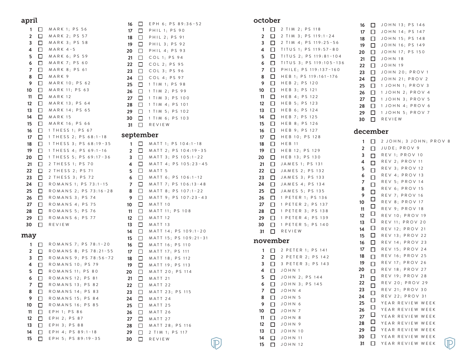#### april

**10**

**12 13 14**

**11** EPH 1; PS 86

EPH 2; PS 87 EPH 3; PS 88 EPH 4; PS 89:1–18

**15** EPH 5; PS 89:19–35

ROMANS 16; PS 85

| apın           |    |                        | 16             | □      |
|----------------|----|------------------------|----------------|--------|
| 1              | П  | <b>MARK 1; PS 56</b>   | 17             | □      |
| $\overline{2}$ | □  | MARK 2; PS 57          | 18             | □      |
| 3              | п  | MARK 3; PS 58          | 19             | п      |
| 4              | П  | $MARK$ 4-5             | 20             | □      |
| 5              | □  | MARK 6; PS 59          | 21             | □      |
| 6              | П  | <b>MARK 7; PS 60</b>   | 22             | П      |
| 7              | П  | MARK 8; PS 61          | 23             | □      |
| 8              | П  | MARK 9                 | 24             | □      |
| 9              | п  | MARK 10; PS 62         | 25             | □      |
| 10             | п  | MARK 11; PS 63         | 26             | □      |
| 11             | п  | MARK 12                | 27             | П      |
| 12             | □  | MARK 13; PS 64         | 28             | □      |
| 13             | П  | MARK 14; PS 65         | 29             | ◻      |
| 14             | П  | <b>MARK 15</b>         | 30             | □      |
| 15             | п  | MARK 16; PS 66         | 31             | □      |
| 16             | ΙI | 1 THESS 1; PS 67       |                |        |
| 17             | П  | 1 THESS 2; PS 68:1-18  | septen         |        |
| 18             | П  | 1 THESS 3; PS 68:19-35 | 1              | □      |
| 19             | П  | 1 THESS 4; PS 69:1-16  | $\overline{2}$ | □      |
| 20             | П  | 1 THESS 5: PS 69:17-36 | 3              | П      |
| 21             | П  | 2 THESS 1; PS 70       | 4              | □      |
| 22             | □  | 2 THESS 2; PS 71       | 5              | □      |
| 23             | П  | 2 THESS 3; PS 72       | 6              | □      |
| 24             | П  | ROMANS 1; PS 73:1-15   | $\overline{7}$ | п      |
| 25             | П  | ROMANS 2; PS 73:16-28  | 8              | □      |
| 26             | П  | ROMANS 3; PS 74        | 9              | п      |
| 27             | П  | ROMANS 4; PS<br>75     | 10             | □      |
| 28             | п  | ROMANS 5: PS<br>76     | 11             | п      |
| 29             | П  | ROMANS 6; PS 77        | 12             | □      |
| 30             | □  | REVIEW                 | 13             | □      |
| may            |    |                        | 14             | п      |
|                |    |                        | 15             | П      |
| 1              | П  | ROMANS 7; PS 78:1-20   | 16             | □      |
| $\overline{2}$ | п  | ROMANS 8; PS 78:21-55  | 17             | П      |
| 3              | П  | ROMANS 9; PS 78:56-72  | 18             | □      |
| 4              | П  | ROMANS 10; PS 79       | 19             | П      |
| 5              | п  | ROMANS 11; PS 80       | 20             | □      |
| 6              | П  | ROMANS 12: PS<br>81    | 21             | $\Box$ |
| 7              | □  | ROMANS 13; PS<br>82    | 22             | П      |
| 8              | п  | ROMANS 14; PS 83       | 23             | □      |
| 9              | П  | ROMANS 15: PS<br>84    | 24             | □      |

| 16<br>17<br>18<br>19<br>20<br>21<br>22<br>23<br>24<br>25<br>26<br>27<br>28<br>29<br>30<br>31 | П<br>□<br>□<br>□<br>П<br>□<br>□<br>□<br>⊔<br>П<br>П<br>□<br>□<br>П<br>□<br>◻ | EPH 6; PS 89:36-52<br>PHIL 1; PS<br>90<br>2: PS<br>PHIL<br>91<br>PHIL 3; PS 92<br>PHIL 4; PS 93<br>COL 1; PS 94<br>COL 2; PS 95<br>COL 3; PS 96<br>COL 4; PS 97<br>TIM 1; PS 98<br>1<br>TIM<br>2:<br>P S<br>99<br>1<br>TIM<br>3:<br>P S<br>1<br>100<br>TIM 4; PS<br>1<br>101<br>$TIM$ 5;<br>1<br>P S<br>102<br>TIM 6; PS 103<br>1<br>REVIEW |
|----------------------------------------------------------------------------------------------|------------------------------------------------------------------------------|---------------------------------------------------------------------------------------------------------------------------------------------------------------------------------------------------------------------------------------------------------------------------------------------------------------------------------------------|
| september                                                                                    |                                                                              |                                                                                                                                                                                                                                                                                                                                             |
| 1                                                                                            | □                                                                            | MATT 1; PS 104:1-18                                                                                                                                                                                                                                                                                                                         |
| $\overline{2}$                                                                               | П                                                                            | MATT 2; PS 104:19-35                                                                                                                                                                                                                                                                                                                        |
| з                                                                                            | П                                                                            | MATT 3; PS 105:1-22                                                                                                                                                                                                                                                                                                                         |
| 4                                                                                            | п                                                                            | MATT 4; PS 105:23-45                                                                                                                                                                                                                                                                                                                        |
| 5                                                                                            | П                                                                            | MATT <sub>5</sub>                                                                                                                                                                                                                                                                                                                           |
| 6                                                                                            | п                                                                            | MATT 6; PS 106:1-12                                                                                                                                                                                                                                                                                                                         |
| 7                                                                                            | ⊔                                                                            | MATT 7; PS 106:13-48                                                                                                                                                                                                                                                                                                                        |
| 8                                                                                            | □                                                                            | MATT 8;<br>P S<br>$107:1 - 22$                                                                                                                                                                                                                                                                                                              |
| 9                                                                                            | $\Box$                                                                       | MATT 9; PS 107:23-43                                                                                                                                                                                                                                                                                                                        |
| 10                                                                                           | □                                                                            | MATT<br>10                                                                                                                                                                                                                                                                                                                                  |
| 11                                                                                           | □                                                                            | 11; PS 108<br>MATT                                                                                                                                                                                                                                                                                                                          |
| 12                                                                                           | □                                                                            | 12<br>MATT                                                                                                                                                                                                                                                                                                                                  |
| 13                                                                                           | П                                                                            | MATT<br>13                                                                                                                                                                                                                                                                                                                                  |
| 14                                                                                           | П                                                                            | MATT 14; PS 109:1-20                                                                                                                                                                                                                                                                                                                        |
| 15                                                                                           | П                                                                            | MATT 15; PS 109:21-31                                                                                                                                                                                                                                                                                                                       |
| 16                                                                                           | П<br>П                                                                       | MATT 16;<br>P S<br>110<br>MATT 17; PS<br>111                                                                                                                                                                                                                                                                                                |
| 17<br>18                                                                                     | $\Box$                                                                       | MATT 18;<br>P S<br>112                                                                                                                                                                                                                                                                                                                      |
| 19                                                                                           | ⊓                                                                            | P S<br>MATT 19;<br>113                                                                                                                                                                                                                                                                                                                      |
| 20                                                                                           | П                                                                            | MATT<br>20; PS 114                                                                                                                                                                                                                                                                                                                          |
| 21                                                                                           | □                                                                            | MATT<br>21                                                                                                                                                                                                                                                                                                                                  |
| 22                                                                                           | ப                                                                            | MATT<br>22                                                                                                                                                                                                                                                                                                                                  |
| 23                                                                                           |                                                                              | MATT<br>23; PS 115                                                                                                                                                                                                                                                                                                                          |
| 24                                                                                           | П                                                                            | MATT<br>24                                                                                                                                                                                                                                                                                                                                  |
| 25                                                                                           | п                                                                            | MATT<br>25                                                                                                                                                                                                                                                                                                                                  |
| 26                                                                                           | п                                                                            | MATT<br>26                                                                                                                                                                                                                                                                                                                                  |
| 27                                                                                           |                                                                              | MATT 27                                                                                                                                                                                                                                                                                                                                     |
| 28                                                                                           |                                                                              | MATT 28; PS 116                                                                                                                                                                                                                                                                                                                             |
| 29                                                                                           | П                                                                            | 2 TIM 1; PS 117                                                                                                                                                                                                                                                                                                                             |

**30** REVIEW

october

|                | <b>CLONGT</b> |                                      |
|----------------|---------------|--------------------------------------|
| 1              | □             | 2 TIM 2; PS 118                      |
| $\overline{2}$ | П             | 2<br>$TIM$ 3; PS 119:1-24            |
| 3              | □             | 2 TIM 4; PS 119:25-56                |
| 4              | П             | TITUS 1; PS 119:57-80                |
| 5              | П             | TITUS<br>2; PS 119:81-104            |
| 6              | $\Box$        | TITUS 3; PS 119:105-136              |
| $\overline{7}$ | ப             | PHILE; PS 119:137-160                |
| 8              | П             | HEB 1; PS 119:161-176                |
| 9              | П             | HEB 2; PS 120                        |
| 10             | ⊓             | HEB 3: PS 121                        |
| 11             | П             | HEB 4; PS 122                        |
| 12             | П             | HEB 5; PS 123                        |
| 13             | П             | HEB 6; PS 124                        |
| 14             | П             | HEB 7; PS 125                        |
| 15             | $\Box$        | HEB 8; PS 126                        |
| 16             | l 1           | HEB 9; PS 127                        |
| 17             | П             | HEB 10; PS 128                       |
| 18             | П             | <b>HEB 11</b>                        |
| 19             | П             | HEB 12; PS 129                       |
| 20             | □             | HEB 13; PS 130                       |
| 21             | П             | JAMES 1; PS 131                      |
| 22             | □             | JAMES 2; PS 132                      |
| 23             | П             | JAMES<br>PS 133<br>3:                |
| 24             | l 1           | JAMES 4: PS<br>134                   |
| 25             | П             | JAMES 5; PS 135                      |
| 26             | П             | 1 PETER 1; PS 136                    |
| 27             | П             | 1 PETER 2; PS 137                    |
| 28             | П             | PETER 3: PS 138<br>1                 |
| 29             | П             | PETER 4; PS 139<br>1                 |
| 30             | $\Box$        | PETER 5; PS 140<br>1                 |
| 31             | П             | REVIEW                               |
| november       |               |                                      |
| 1              |               | 2 PETER 1; PS 141                    |
| 2              | ⊣<br>I        | $\overline{2}$<br>PETER<br>2: PS 142 |

**3** 3 PETER 3; PS 143

**5** JOHN 2; PS 144 **6** JOHN 3; PS 145

**4** JOHN 1

 JOHN 13; PS 146 JOHN 14; PS 147 JOHN 15; PS 148 JOHN 16; PS 149 JOHN 17; PS 150 **21** JOHN 18 **22** JOHN 19 JOHN 20; PROV 1 JOHN 21; PROV 2 1 JOHN 1; PROV 3 1 JOHN 2; PROV 4 1 JOHN 3; PROV 5 1 JOHN 4; PROV 6 1 JOHN 5; PROV 7 **30** REVIEW

## december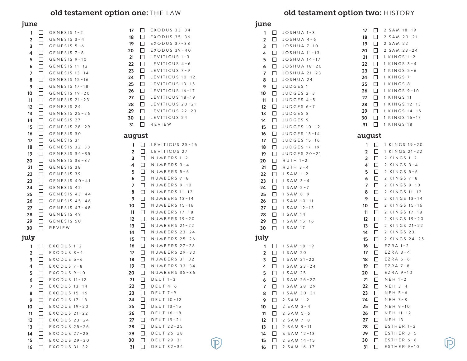# old testament option one: THE LAW

## june

| ,                       |        |                 |                         |        |                          |
|-------------------------|--------|-----------------|-------------------------|--------|--------------------------|
| $\mathbf{1}$            | $\Box$ | $GENESIS$ 1-2   | 17                      | $\Box$ | $EXODUS 33-34$           |
| $\overline{\mathbf{2}}$ | □      | $GENESIS$ 3-4   | 18                      | $\Box$ | $EXODUS 35-36$           |
| 3                       | □      | $GENESIS 5-6$   | 19                      | □      | EXODUS 37-38             |
| 4                       | □      | $GENESIS 7-8$   | 20                      | □      | $EXODUS 39 - 40$         |
| 5                       | □      | GENESIS 9-10    | 21                      | □      | LEVITICUS 1-3            |
| 6                       | □      | GENESIS 11-12   | 22                      | □      | LEVITICUS 4-6            |
| 7                       | □      | GENESIS 13-14   | 23                      | □      | LEVITICUS 7-9            |
| 8                       | □      | GENESIS 15-16   | 24                      | □      | LEVITICUS 10-1           |
| 9                       | □      | GENESIS 17-18   | 25                      | $\Box$ | LEVITICUS 13-1           |
| 10                      | □      | GENESIS 19-20   | 26                      | □      | LEVITICUS 16-1           |
| 11                      | □      | GENESIS 21-23   | 27                      | □      | LEVITICUS 18-1           |
| 12                      | □      | GENESIS 24      | 28                      | □      | LEVITICUS 20-3           |
| 13                      | □      | GENESIS 25-26   | 29                      | □.     | LEVITICUS 22-2           |
| 14                      | □      | GENESIS 27      | 30                      |        | $\Box$ LEVITICUS 24      |
| 15                      | □      | GENESIS 28-29   | 31                      | □      | REVIEW                   |
| 16                      | □      | GENESIS 30      |                         |        |                          |
| 17                      | □      | GENESIS 31      | august                  |        |                          |
| 18                      | □      | GENESIS 32-33   | 1                       | $\Box$ | LEVITICUS 25-3           |
| 19                      | □      | $GENESIS$ 34-35 | $\overline{\mathbf{2}}$ | $\Box$ | LEVITICUS 27             |
| 20                      | □      | GENESIS 36-37   | 3                       | $\Box$ | $N$ U M B E R S $1 - 2$  |
| 21                      | □      | GENESIS 38      | 4                       | □      | NUMBERS 3-4              |
| 22                      | □      | GENESIS 39      | 5                       | □      | NUMBERS 5-6              |
| 23                      | □      | GENESIS 40-41   | 6                       | □      | NUMBERS 7-8              |
| 24                      | □      | GENESIS 42      | 7                       | □      | NUMBERS 9-10             |
| 25                      | □      | GENESIS 43-44   | 8                       | □      | NUMBERS 11-12            |
| 26                      | □      | GENESIS 45-46   | 9                       | □      | NUMBERS 13-14            |
| 27                      | $\Box$ | $GENESIS$ 47-48 | 10                      | □      | NUMBERS 15-16            |
| 28                      | 0      | GENESIS 49      | 11                      | □      | NUMBERS 17-18            |
| 29                      | $\Box$ | GENESIS 50      | 12                      | □      | $N$ U M B E R S $19 - 2$ |
| 30                      | □      | REVIEW          | 13                      | □      | NUMBERS 21-2             |
|                         |        |                 | 14                      | □      | NUMBERS 23-2             |
| july                    |        |                 | 15                      | □      | NUMBERS 25-2             |
| 1                       | ⊔      | $EXODUS 1-2$    | 16                      | □      | NUMBERS 27-2             |
| 2                       | $\Box$ | EXODUS 3-4      | 17                      | □      | NUMBERS 29-3             |
| 3                       | □      | $EXODUS 5-6$    | 18                      | □      | NUMBERS 31-3             |
| 4                       | □      | $EXODUS 7-8$    | 19                      | □      | NUMBERS 33-3             |
| 5                       | □      | $EXODUS 9-10$   | 20                      | □      | NUMBERS 35-3             |
| 6                       | □      | $EXODUS$ 11-12  | 21                      | □      | $DEUT 1-3$               |
| 7                       | □      | EXODUS 13-14    | 22                      | □      | $D E U T 4 - 6$          |
| 8                       | ⊔      | EXODUS 15-16    | 23                      | ⊔      | $D E U T 7 - 9$          |
| 9                       | П      | EXODUS 17-18    | 24                      | □      | DEUT 10-12               |
| 10                      | □      | EXODUS 19-20    | 25                      | П      | DEUT 13-15               |
| 11                      | □      | EXODUS 21-22    | 26                      | □      | DEUT 16-18               |
| 12                      | □      | EXODUS 23-24    | 27                      | □      | DEUT 19-21               |
| 13                      | □      | EXODUS 25-26    | 28                      | □      | DEUT 22-25               |
| 14                      | □      | EXODUS 27-28    | 29                      | П      | DEUT 26-28               |
| 15                      | □      | EXODUS 29-30    | 30                      | □      | DEUT 29-31               |
| 16                      | □      | EXODUS 31-32    | 31                      | □      | DEUT 32-34               |

| 8<br>9<br>C<br>1<br>2<br>3<br>4<br>5<br>6<br>7<br>8<br>9<br>C | $\Box$<br>ப<br>□<br>$\Box$<br>$\Box$<br>$\Box$<br>$\Box$<br>$\Box$<br>□<br>□<br>$\Box$<br>$\Box$<br>$\Box$ | EXODUS 35-36<br>EXODUS 37-38<br>EXODUS 39-40<br>LEVITICUS 1-3<br>LEVITICUS<br>$4 - 6$<br>LEVITICUS<br>$7 - 9$<br>LEVITICUS 10-12<br>LEVITICUS 13-15<br>LEVITICUS 16-17<br>LEVITICUS 18-19<br>LEVITICUS 20-21<br>LEVITICUS 22-23<br>LEVITICUS 24 |
|---------------------------------------------------------------|------------------------------------------------------------------------------------------------------------|-------------------------------------------------------------------------------------------------------------------------------------------------------------------------------------------------------------------------------------------------|
| 1                                                             | $\Box$                                                                                                     | REVIEW                                                                                                                                                                                                                                          |
|                                                               | ıgust                                                                                                      |                                                                                                                                                                                                                                                 |
| 1<br>$\overline{2}$<br>3<br>4<br>5<br>6<br>7                  | □<br>□<br>□<br>□<br>□<br>⊔<br>□                                                                            | LEVITICUS 25-26<br>LEVITICUS 27<br>NUMBERS 1-2<br>$N$ U M B E R S $3 - 4$<br>NUMBERS 5-6<br>NUMBERS 7-8<br>NUMBERS 9-10                                                                                                                         |
| 8<br>9                                                        | □<br>□                                                                                                     | NUMBERS 11-12<br>NUMBERS<br>$13 - 14$                                                                                                                                                                                                           |
| 0<br>11<br>$\overline{2}$<br>3<br>4<br>5                      | コ<br>Е<br>□<br>$\Box$<br>□<br>□<br>□                                                                       | $15 - 16$<br>NUMBERS<br>NUMBERS<br>$17 - 18$<br>NUMBERS<br>$19 - 20$<br>$21 - 22$<br>N U M B E R S<br>NUMBERS 23-24<br>NUMBERS 25-26                                                                                                            |
| 6<br>7                                                        | ⊔<br>□                                                                                                     | N U M B E R S 27 - 28<br>N U M B E R S 29 - 30                                                                                                                                                                                                  |
| 8<br>9<br>0<br>!1<br>2<br>3<br>4                              | $\Box$<br>□<br>□<br>I<br>Г<br>□<br>□<br>$\Box$                                                             | NUMBERS<br>$31 - 32$<br>NUMBERS<br>$33 - 34$<br>NUMBERS<br>$35 - 36$<br>$D E U T 1-3$<br>DEUT<br>$4 - 6$<br>DEUT 7-9<br>$10 - 12$<br>DEUT                                                                                                       |
| 5<br>6<br>7<br>8<br>9<br>0<br>31                              | П<br>□<br>1<br>┒<br>П<br>□<br>1                                                                            | $13 - 15$<br>DEUT<br>$16 - 18$<br>DEUT<br>DEUT<br>$19 - 21$<br>DEUT<br>$22 - 25$<br>DEUT<br>$26 - 28$<br>DEUT<br>$29 - 31$<br>$32 - 34$<br>DEUT                                                                                                 |

 $\raisebox{.5pt}{\Large$\raisebox{.5pt}{\Large$}}\hspace{-1.5pt}$ 

# old testament option two: HISTORY

## june

| Juri |        |                                      |
|------|--------|--------------------------------------|
| 1    | □      | JOSHUA 1-3                           |
|      | □      |                                      |
| 2    |        | JOSHUA 4-6                           |
| з    | □      | $JOSHUA 7-10$                        |
| 4    | □      | JOSHUA 11-13                         |
|      | $\Box$ | JOSHUA 14-17                         |
| 5    |        |                                      |
| 6    | П      | JOSHUA 18-20                         |
| 7    | □      | JOSHUA 21-23                         |
| 8    | □      | JOSHUA 24                            |
|      |        |                                      |
| 9    | □      | <b>JUDGES</b><br>$\mathbf{1}$        |
| 10   | □      | <b>JUDGES</b><br>$2 - 3$             |
| 11   | □      | $JUDGES 4-5$                         |
|      |        |                                      |
| 12   | □      | <b>JUDGES</b><br>$6 - 7$             |
| 13   | □      | <b>JUDGES</b><br>8                   |
| 14   | □      | <b>JUDGES</b><br>9                   |
|      |        |                                      |
| 15   | □      | <b>JUDGES</b><br>$10 - 12$           |
| 16   | $\Box$ | <b>JUDGES</b><br>$13 - 14$           |
| 17   | $\Box$ | <b>JUDGES</b><br>$15 - 16$           |
|      |        |                                      |
| 18   | □      | $17 - 19$<br>JUDGES                  |
| 19   | □      | JUDGES 20-21                         |
| 20   | □      | $RUTH$ 1-2                           |
|      |        | $RUTH$ 3-4                           |
| 21   | ⊔      |                                      |
| 22   | □      | $SAM$ 1-2<br>1                       |
| 23   | П      | SAM<br>1<br>$3 - 4$                  |
| 24   | □      | 1<br>$SAM 5-7$                       |
|      |        |                                      |
| 25   | □      | 1<br>$SAM 8-9$                       |
| 26   | □      | $SAM$ 10-11<br>1                     |
| 27   | □      | $SAM$ 12-13<br>1                     |
|      |        |                                      |
| 28   | □      | <b>SAM 14</b><br>$\mathbf{1}$        |
| 29   | □      | $SAM$ 15-16<br>$\mathbf{1}$          |
| 30   | ◻      | SAM 17<br>1                          |
|      |        |                                      |
| july |        |                                      |
| 1    |        | $SAM$ 18-19<br>$\mathbf{1}$          |
|      | ⊔      |                                      |
| 2    | □      | $\mathbf{1}$<br><b>SAM 20</b>        |
| 3    | □      | $SAM$ 21-22<br>$\mathbf{1}$          |
| 4    | □      | $SAM$ 23-24<br>1                     |
|      |        |                                      |
| 5    | □      | <b>SAM 25</b><br>1                   |
| 6    | □      | SAM<br>$26 - 27$<br>1                |
| 7    | □      | SAM<br>$28 - 29$<br>1                |
| 8    |        | $30 - 31$<br>1<br>SAM                |
|      |        |                                      |
| 9    |        | S A M<br>$1 - 2$<br>2                |
| 10   | ⊔      | $3 - 4$<br>2<br>SAM                  |
| 11   | ΙI     | $\overline{c}$<br>$5 - 6$<br>S A M   |
|      |        |                                      |
| 12   |        | $\overline{c}$<br>SAM<br>$7 - 8$     |
| 13   |        | 2<br>SAM<br>$9 - 11$                 |
| 14   |        | S<br><b>SAM</b><br>$12 - 13$         |
| 15   |        | 2<br>S A M<br>$14 - 15$              |
|      |        |                                      |
| 16   | L      | $\overline{2}$<br>S A M<br>$16 - 17$ |

| $\Box$<br>17<br>□<br>18<br>19<br>$\Box$<br>$\Box$<br>20<br>$\Box$<br>21<br>$\Box$<br>22<br>□<br>23<br>$\Box$<br>24<br>$\Box$<br>25<br>$\Box$<br>26<br>27<br>$\Box$<br>$\Box$<br>28<br>29<br>□<br>$\Box$<br>30<br>31<br>$\Box$                                                                        | 2 SAM 18-19<br>2 SAM 20-21<br>2 SAM 22<br>$\overline{c}$<br>$SAM$ 23-24<br>KINGS<br>$1 - 2$<br>1<br>KINGS<br>1<br>$3 - 4$<br>KINGS<br>1<br>$5 - 6$<br>KINGS<br>7<br>1<br>KINGS<br>1<br>- 8<br>$KINGS$ 9-10<br>1<br>$\mathbf{1}$<br>KINGS 11<br>1 KINGS 12-13<br>KINGS 14-15<br>1<br>KINGS 16-17<br>1<br>K I N G S 18<br>1                                                                                                                                                                                                                                                                     |
|------------------------------------------------------------------------------------------------------------------------------------------------------------------------------------------------------------------------------------------------------------------------------------------------------|-----------------------------------------------------------------------------------------------------------------------------------------------------------------------------------------------------------------------------------------------------------------------------------------------------------------------------------------------------------------------------------------------------------------------------------------------------------------------------------------------------------------------------------------------------------------------------------------------|
| august                                                                                                                                                                                                                                                                                               |                                                                                                                                                                                                                                                                                                                                                                                                                                                                                                                                                                                               |
| □<br>1<br>$\Box$<br>2<br>3<br>□<br>4<br>□<br>5<br>□<br>6<br>⊔<br>7<br>□<br>8<br>□<br>9<br>□<br>$\Box$<br>10<br>コ<br>11<br>Г<br>П<br>12<br>□<br>13<br>П<br>14<br>15<br>□<br>□<br>16<br>17<br>□<br>$\Box$<br>18<br>□<br>19<br>П<br>20<br>$\Box$<br>21<br>コ<br>22<br>L<br>П<br>23<br>24<br>□<br>25<br>□ | $\mathbf{1}$<br>KINGS 19-20<br>KINGS<br>$21 - 22$<br>1<br>$KINGS$ 1-2<br>2<br>$KINGS$ 3-4<br>2<br>2 KINGS 5-6<br>2 KINGS<br>$7 - 8$<br>$KINGS$ 9-10<br>2<br>KINGS<br>2<br>$11 - 12$<br>KINGS<br>$\overline{2}$<br>$13 - 14$<br>KINGS<br>$15 - 16$<br>2<br>KINGS<br>$17 - 18$<br>$\overline{2}$<br>KINGS<br>$19 - 20$<br>2<br>$21 - 22$<br>$\overline{2}$<br>KINGS<br>KINGS<br>$\overline{2}$<br>23<br>KINGS 24-25<br>$\overline{2}$<br>$E Z R A 1 - 2$<br>$EZRA$ 3-4<br>$EZRA$ 5-6<br>EZRA<br>$7 - 8$<br>$EZRA$ 9-10<br>$N E H 1 - 2$<br>$NEH$ 3-4<br>NEH<br>$5 - 6$<br>$NEH$ 7-8<br>NEH 9-10 |
| 26<br>□<br>27<br>□<br>28<br>⊐<br>29<br>J<br>┒<br>30<br>31<br>٦<br>Г                                                                                                                                                                                                                                  | NEH 11-12<br>NEH 13<br>ESTHER<br>$1 - 2$<br>ESTHER<br>$3 - 5$<br>ESTHER<br>$6 - 8$<br>ESTHER<br>$9 - 10$                                                                                                                                                                                                                                                                                                                                                                                                                                                                                      |